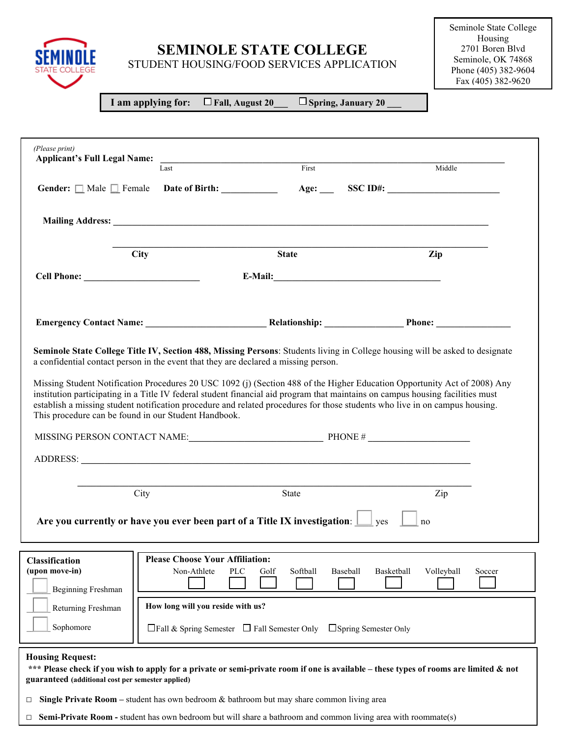

STUDENT HOUSING/FOOD SERVICES APPLICATION

 **I am applying for: Fall, August 20\_\_\_ Spring, January 20 \_\_\_**

SEMINO

| (Please print)<br><b>Applicant's Full Legal Name:</b>               | <u> 2008 - An Dùbhlachd ann an Dùbhlachd ann an Dùbhlachd ann an Dùbhlachd ann an Dùbhlachd ann an Dùbhlachd ann an Dùbhlachd ann an Dùbhlachd ann an Dùbhlachd ann an Dùbhlachd ann an Dùbhlachd ann an Dùbhlachd ann an Dùbhla</u><br>Last | First                                                                                | Middle                                                                                                                                                                                                                                                        |  |
|---------------------------------------------------------------------|----------------------------------------------------------------------------------------------------------------------------------------------------------------------------------------------------------------------------------------------|--------------------------------------------------------------------------------------|---------------------------------------------------------------------------------------------------------------------------------------------------------------------------------------------------------------------------------------------------------------|--|
|                                                                     |                                                                                                                                                                                                                                              |                                                                                      | Gender: $\Box$ Male $\Box$ Female Date of Birth: $\Box$ Age: SSC ID#:                                                                                                                                                                                         |  |
|                                                                     |                                                                                                                                                                                                                                              |                                                                                      |                                                                                                                                                                                                                                                               |  |
|                                                                     | <b>City</b>                                                                                                                                                                                                                                  | <b>State</b>                                                                         | Zip                                                                                                                                                                                                                                                           |  |
|                                                                     |                                                                                                                                                                                                                                              |                                                                                      |                                                                                                                                                                                                                                                               |  |
|                                                                     |                                                                                                                                                                                                                                              |                                                                                      |                                                                                                                                                                                                                                                               |  |
|                                                                     |                                                                                                                                                                                                                                              | a confidential contact person in the event that they are declared a missing person.  | Seminole State College Title IV, Section 488, Missing Persons: Students living in College housing will be asked to designate                                                                                                                                  |  |
|                                                                     |                                                                                                                                                                                                                                              |                                                                                      | Missing Student Notification Procedures 20 USC 1092 (j) (Section 488 of the Higher Education Opportunity Act of 2008) Any                                                                                                                                     |  |
|                                                                     | This procedure can be found in our Student Handbook.                                                                                                                                                                                         |                                                                                      | institution participating in a Title IV federal student financial aid program that maintains on campus housing facilities must<br>establish a missing student notification procedure and related procedures for those students who live in on campus housing. |  |
|                                                                     |                                                                                                                                                                                                                                              | MISSING PERSON CONTACT NAME: PHONE # PHONE #                                         |                                                                                                                                                                                                                                                               |  |
|                                                                     | City                                                                                                                                                                                                                                         | State                                                                                | Zip                                                                                                                                                                                                                                                           |  |
|                                                                     |                                                                                                                                                                                                                                              | Are you currently or have you ever been part of a Title IX investigation: $\Box$ yes | no                                                                                                                                                                                                                                                            |  |
| <b>Beginning Freshman</b>                                           | <b>Please Choose Your Affiliation:</b><br>Non-Athlete                                                                                                                                                                                        | <b>PLC</b><br>Softball<br>Baseball<br>Golf                                           | Basketball<br>Volleyball<br>Soccer                                                                                                                                                                                                                            |  |
| Classification<br>(upon move-in)<br>Returning Freshman<br>Sophomore | How long will you reside with us?                                                                                                                                                                                                            | $\Box$ Fall & Spring Semester $\Box$ Fall Semester Only $\Box$ Spring Semester Only  |                                                                                                                                                                                                                                                               |  |

**□ Single Private Room –** student has own bedroom & bathroom but may share common living area

**□ Semi-Private Room -** student has own bedroom but will share a bathroom and common living area with roommate(s)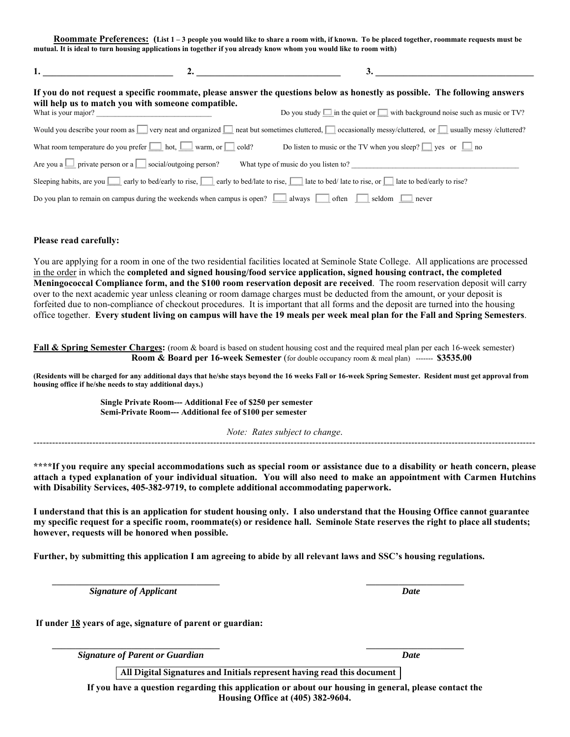**Roommate Preferences: (List 1 – 3 people you would like to share a room with, if known. To be placed together, roommate requests must be mutual. It is ideal to turn housing applications in together if you already know whom you would like to room with)**

| If you do not request a specific roommate, please answer the questions below as honestly as possible. The following answers<br>will help us to match you with someone compatible. |                                                                                        |                                                                                                                                                                              |  |  |  |
|-----------------------------------------------------------------------------------------------------------------------------------------------------------------------------------|----------------------------------------------------------------------------------------|------------------------------------------------------------------------------------------------------------------------------------------------------------------------------|--|--|--|
|                                                                                                                                                                                   |                                                                                        | Do you study $\Box$ in the quiet or $\Box$ with background noise such as music or TV?                                                                                        |  |  |  |
|                                                                                                                                                                                   |                                                                                        | Would you describe your room as $\Box$ very neat and organized $\Box$ neat but sometimes cluttered, $\Box$ occasionally messy/cluttered, or $\Box$ usually messy /cluttered? |  |  |  |
|                                                                                                                                                                                   | What room temperature do you prefer $\Box$ hot, $\Box$ warm, or $\Box$ cold?           | Do listen to music or the TV when you sleep? $\Box$ yes or $\Box$ no                                                                                                         |  |  |  |
|                                                                                                                                                                                   | Are you a $\Box$ private person or a $\Box$ social/outgoing person?                    | What type of music do you listen to?                                                                                                                                         |  |  |  |
|                                                                                                                                                                                   |                                                                                        | Sleeping habits, are you $\Box$ early to bed/early to rise, $\Box$ early to bed/late to rise, $\Box$ late to bed/ ate to rise, or $\Box$ late to bed/early to rise?          |  |  |  |
|                                                                                                                                                                                   | Do you plan to remain on campus during the weekends when campus is open? $\Box$ always | seldom<br>often<br>never                                                                                                                                                     |  |  |  |

#### **Please read carefully:**

You are applying for a room in one of the two residential facilities located at Seminole State College. All applications are processed in the order in which the **completed and signed housing/food service application, signed housing contract, the completed Meningococcal Compliance form, and the \$100 room reservation deposit are received**. The room reservation deposit will carry over to the next academic year unless cleaning or room damage charges must be deducted from the amount, or your deposit is forfeited due to non-compliance of checkout procedures. It is important that all forms and the deposit are turned into the housing office together. **Every student living on campus will have the 19 meals per week meal plan for the Fall and Spring Semesters**.

**Fall & Spring Semester Charges:** (room & board is based on student housing cost and the required meal plan per each 16-week semester) **Room & Board per 16-week Semester** (for double occupancy room & meal plan) ------- **\$3535.00**

**(Residents will be charged for any additional days that he/she stays beyond the 16 weeks Fall or 16-week Spring Semester. Resident must get approval from housing office if he/she needs to stay additional days.)** 

> **Single Private Room--- Additional Fee of \$250 per semester Semi-Private Room--- Additional fee of \$100 per semester**

*Note: Rates subject to change*. ------------------------------------------------------------------------------------------------------------------------------------------------------------------

**\*\*\*\*If you require any special accommodations such as special room or assistance due to a disability or heath concern, please attach a typed explanation of your individual situation. You will also need to make an appointment with Carmen Hutchins with Disability Services, 405-382-9719, to complete additional accommodating paperwork.** 

**I understand that this is an application for student housing only. I also understand that the Housing Office cannot guarantee my specific request for a specific room, roommate(s) or residence hall. Seminole State reserves the right to place all students; however, requests will be honored when possible.** 

**Further, by submitting this application I am agreeing to abide by all relevant laws and SSC's housing regulations.** 

**\_\_\_\_\_\_\_\_\_\_\_\_\_\_\_\_\_\_\_\_\_\_\_\_\_\_\_\_\_\_\_\_\_\_\_\_ \_\_\_\_\_\_\_\_\_\_\_\_\_\_\_\_\_\_\_\_\_**

*Signature of Applicant*  $\blacksquare$ 

**If under 18 years of age, signature of parent or guardian:**

**\_\_\_\_\_\_\_\_\_\_\_\_\_\_\_\_\_\_\_\_\_\_\_\_\_\_\_\_\_\_\_\_\_\_\_\_ \_\_\_\_\_\_\_\_\_\_\_\_\_\_\_\_\_\_\_\_\_** *Signature of Parent or Guardian Date*

**All Digital Signatures and Initials represent having read this document**

**If you have a question regarding this application or about our housing in general, please contact the Housing Office at (405) 382-9604.**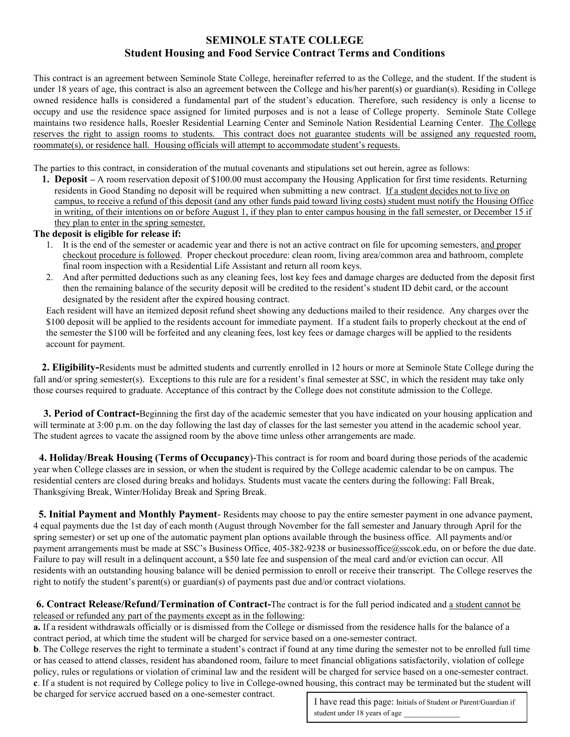# **SEMINOLE STATE COLLEGE Student Housing and Food Service Contract Terms and Conditions**

This contract is an agreement between Seminole State College, hereinafter referred to as the College, and the student. If the student is under 18 years of age, this contract is also an agreement between the College and his/her parent(s) or guardian(s). Residing in College owned residence halls is considered a fundamental part of the student's education. Therefore, such residency is only a license to occupy and use the residence space assigned for limited purposes and is not a lease of College property. Seminole State College maintains two residence halls, Roesler Residential Learning Center and Seminole Nation Residential Learning Center. The College reserves the right to assign rooms to students. This contract does not guarantee students will be assigned any requested room, roommate(s), or residence hall. Housing officials will attempt to accommodate student's requests.

The parties to this contract, in consideration of the mutual covenants and stipulations set out herein, agree as follows:

**1. Deposit –** A room reservation deposit of \$100.00 must accompany the Housing Application for first time residents. Returning residents in Good Standing no deposit will be required when submitting a new contract. If a student decides not to live on campus, to receive a refund of this deposit (and any other funds paid toward living costs) student must notify the Housing Office in writing, of their intentions on or before August 1, if they plan to enter campus housing in the fall semester, or December 15 if they plan to enter in the spring semester.

#### **The deposit is eligible for release if:**

- 1. It is the end of the semester or academic year and there is not an active contract on file for upcoming semesters, and proper checkout procedure is followed. Proper checkout procedure: clean room, living area/common area and bathroom, complete final room inspection with a Residential Life Assistant and return all room keys.
- 2. And after permitted deductions such as any cleaning fees, lost key fees and damage charges are deducted from the deposit first then the remaining balance of the security deposit will be credited to the resident's student ID debit card, or the account designated by the resident after the expired housing contract.

Each resident will have an itemized deposit refund sheet showing any deductions mailed to their residence. Any charges over the \$100 deposit will be applied to the residents account for immediate payment. If a student fails to properly checkout at the end of the semester the \$100 will be forfeited and any cleaning fees, lost key fees or damage charges will be applied to the residents account for payment.

**2. Eligibility-**Residents must be admitted students and currently enrolled in 12 hours or more at Seminole State College during the fall and/or spring semester(s). Exceptions to this rule are for a resident's final semester at SSC, in which the resident may take only those courses required to graduate. Acceptance of this contract by the College does not constitute admission to the College.

**3. Period of Contract-**Beginning the first day of the academic semester that you have indicated on your housing application and will terminate at 3:00 p.m. on the day following the last day of classes for the last semester you attend in the academic school year. The student agrees to vacate the assigned room by the above time unless other arrangements are made.

**4. Holiday/Break Housing (Terms of Occupancy**)-This contract is for room and board during those periods of the academic year when College classes are in session, or when the student is required by the College academic calendar to be on campus. The residential centers are closed during breaks and holidays. Students must vacate the centers during the following: Fall Break, Thanksgiving Break, Winter/Holiday Break and Spring Break.

**5. Initial Payment and Monthly Payment**- Residents may choose to pay the entire semester payment in one advance payment, 4 equal payments due the 1st day of each month (August through November for the fall semester and January through April for the spring semester) or set up one of the automatic payment plan options available through the business office. All payments and/or payment arrangements must be made at SSC's Business Office, 405-382-9238 or businessoffice@sscok.edu, on or before the due date. Failure to pay will result in a delinquent account, a \$50 late fee and suspension of the meal card and/or eviction can occur. All residents with an outstanding housing balance will be denied permission to enroll or receive their transcript. The College reserves the right to notify the student's parent(s) or guardian(s) of payments past due and/or contract violations.

**6. Contract Release/Refund/Termination of Contract-**The contract is for the full period indicated and a student cannot be released or refunded any part of the payments except as in the following:

**a.** If a resident withdrawals officially or is dismissed from the College or dismissed from the residence halls for the balance of a contract period, at which time the student will be charged for service based on a one-semester contract.

**b**. The College reserves the right to terminate a student's contract if found at any time during the semester not to be enrolled full time or has ceased to attend classes, resident has abandoned room, failure to meet financial obligations satisfactorily, violation of college policy, rules or regulations or violation of criminal law and the resident will be charged for service based on a one-semester contract. **c**. If a student is not required by College policy to live in College-owned housing, this contract may be terminated but the student will

be charged for service accrued based on a one-semester contract.

I have read this page: Initials of Student or Parent/Guardian if student under 18 years of age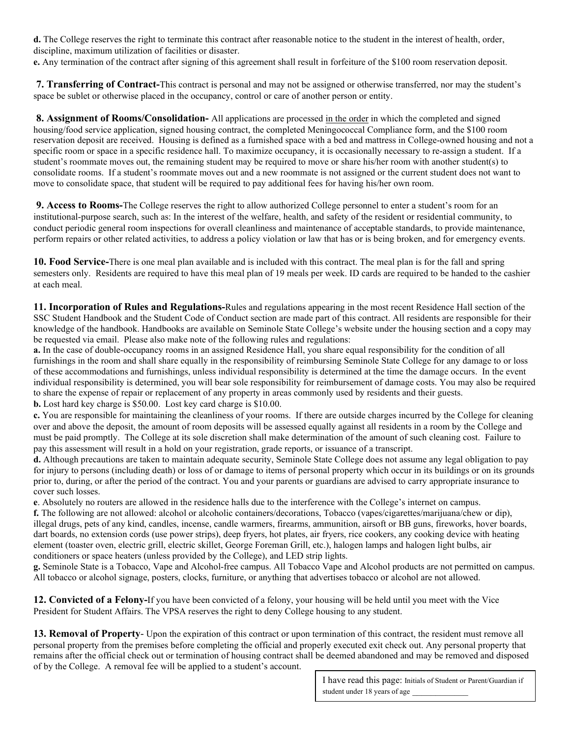**d.** The College reserves the right to terminate this contract after reasonable notice to the student in the interest of health, order, discipline, maximum utilization of facilities or disaster.

**e.** Any termination of the contract after signing of this agreement shall result in forfeiture of the \$100 room reservation deposit.

**7. Transferring of Contract-**This contract is personal and may not be assigned or otherwise transferred, nor may the student's space be sublet or otherwise placed in the occupancy, control or care of another person or entity.

**8. Assignment of Rooms/Consolidation-** All applications are processed in the order in which the completed and signed housing/food service application, signed housing contract, the completed Meningococcal Compliance form, and the \$100 room reservation deposit are received. Housing is defined as a furnished space with a bed and mattress in College-owned housing and not a specific room or space in a specific residence hall. To maximize occupancy, it is occasionally necessary to re-assign a student. If a student's roommate moves out, the remaining student may be required to move or share his/her room with another student(s) to consolidate rooms. If a student's roommate moves out and a new roommate is not assigned or the current student does not want to move to consolidate space, that student will be required to pay additional fees for having his/her own room.

**9. Access to Rooms-**The College reserves the right to allow authorized College personnel to enter a student's room for an institutional-purpose search, such as: In the interest of the welfare, health, and safety of the resident or residential community, to conduct periodic general room inspections for overall cleanliness and maintenance of acceptable standards, to provide maintenance, perform repairs or other related activities, to address a policy violation or law that has or is being broken, and for emergency events.

**10. Food Service-**There is one meal plan available and is included with this contract. The meal plan is for the fall and spring semesters only. Residents are required to have this meal plan of 19 meals per week. ID cards are required to be handed to the cashier at each meal.

**11. Incorporation of Rules and Regulations-**Rules and regulations appearing in the most recent Residence Hall section of the SSC Student Handbook and the Student Code of Conduct section are made part of this contract. All residents are responsible for their knowledge of the handbook. Handbooks are available on Seminole State College's website under the housing section and a copy may be requested via email. Please also make note of the following rules and regulations:

**a.** In the case of double-occupancy rooms in an assigned Residence Hall, you share equal responsibility for the condition of all furnishings in the room and shall share equally in the responsibility of reimbursing Seminole State College for any damage to or loss of these accommodations and furnishings, unless individual responsibility is determined at the time the damage occurs. In the event individual responsibility is determined, you will bear sole responsibility for reimbursement of damage costs. You may also be required to share the expense of repair or replacement of any property in areas commonly used by residents and their guests.

**b.** Lost hard key charge is \$50.00. Lost key card charge is \$10.00. **c.** You are responsible for maintaining the cleanliness of your rooms. If there are outside charges incurred by the College for cleaning over and above the deposit, the amount of room deposits will be assessed equally against all residents in a room by the College and

must be paid promptly. The College at its sole discretion shall make determination of the amount of such cleaning cost. Failure to pay this assessment will result in a hold on your registration, grade reports, or issuance of a transcript.

**d.** Although precautions are taken to maintain adequate security, Seminole State College does not assume any legal obligation to pay for injury to persons (including death) or loss of or damage to items of personal property which occur in its buildings or on its grounds prior to, during, or after the period of the contract. You and your parents or guardians are advised to carry appropriate insurance to cover such losses.

**e**. Absolutely no routers are allowed in the residence halls due to the interference with the College's internet on campus.

**f.** The following are not allowed: alcohol or alcoholic containers/decorations, Tobacco (vapes/cigarettes/marijuana/chew or dip), illegal drugs, pets of any kind, candles, incense, candle warmers, firearms, ammunition, airsoft or BB guns, fireworks, hover boards, dart boards, no extension cords (use power strips), deep fryers, hot plates, air fryers, rice cookers, any cooking device with heating element (toaster oven, electric grill, electric skillet, George Foreman Grill, etc.), halogen lamps and halogen light bulbs, air conditioners or space heaters (unless provided by the College), and LED strip lights.

**g.** Seminole State is a Tobacco, Vape and Alcohol-free campus. All Tobacco Vape and Alcohol products are not permitted on campus. All tobacco or alcohol signage, posters, clocks, furniture, or anything that advertises tobacco or alcohol are not allowed.

**12. Convicted of a Felony-**If you have been convicted of a felony, your housing will be held until you meet with the Vice President for Student Affairs. The VPSA reserves the right to deny College housing to any student.

**13. Removal of Property**- Upon the expiration of this contract or upon termination of this contract, the resident must remove all personal property from the premises before completing the official and properly executed exit check out. Any personal property that remains after the official check out or termination of housing contract shall be deemed abandoned and may be removed and disposed of by the College. A removal fee will be applied to a student's account.

> I have read this page: Initials of Student or Parent/Guardian if student under 18 years of age